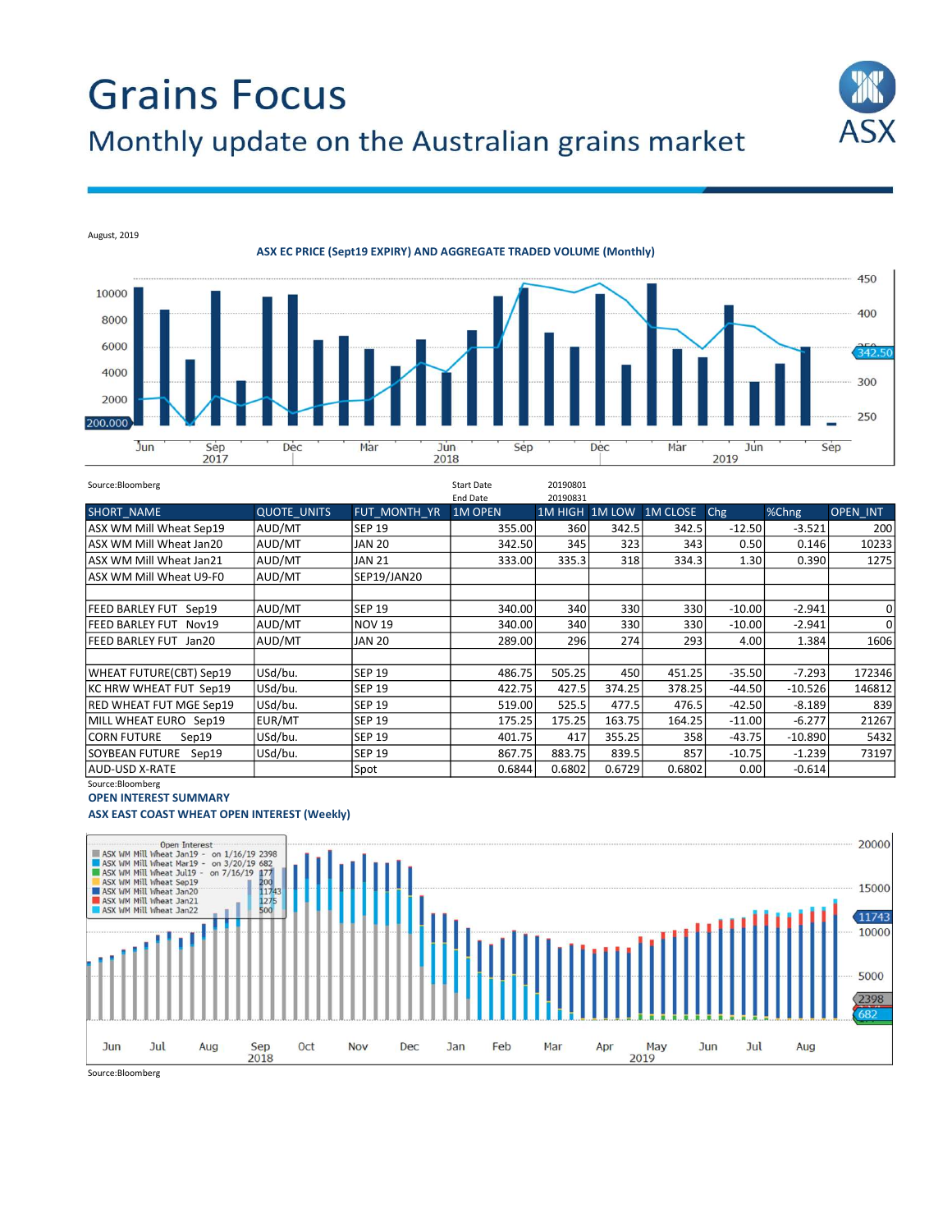# **Grains Focus** Monthly update on the Australian grains market



August, 2019

ASX EC PRICE (Sept19 EXPIRY) AND AGGREGATE TRADED VOLUME (Monthly)



| Source:Bloomberg               |                    |               | <b>Start Date</b> | 20190801       |        |                 |          |                     |          |
|--------------------------------|--------------------|---------------|-------------------|----------------|--------|-----------------|----------|---------------------|----------|
|                                |                    |               | End Date          | 20190831       |        |                 |          |                     |          |
| <b>SHORT NAME</b>              | <b>QUOTE UNITS</b> | FUT MONTH YR  | <b>1M OPEN</b>    | 1M HIGH 1M LOW |        | <b>1M CLOSE</b> | Chg      | $% \overline{Chng}$ | OPEN INT |
| ASX WM Mill Wheat Sep19        | AUD/MT             | <b>SEP 19</b> | 355.00            | 360            | 342.5  | 342.5           | $-12.50$ | $-3.521$            | 200      |
| ASX WM Mill Wheat Jan20        | AUD/MT             | <b>JAN 20</b> | 342.50            | 345            | 323    | 343             | 0.50     | 0.146               | 10233    |
| ASX WM Mill Wheat Jan21        | AUD/MT             | <b>JAN 21</b> | 333.00            | 335.3          | 318    | 334.3           | 1.30     | 0.390               | 1275     |
| lASX WM Mill Wheat U9-F0       | AUD/MT             | SEP19/JAN20   |                   |                |        |                 |          |                     |          |
|                                |                    |               |                   |                |        |                 |          |                     |          |
| <b>FEED BARLEY FUT Sep19</b>   | AUD/MT             | <b>SEP 19</b> | 340.00            | 340            | 330    | 330             | $-10.00$ | $-2.941$            | 0        |
| FEED BARLEY FUT Nov19          | AUD/MT             | <b>NOV 19</b> | 340.00            | 340            | 330    | 330             | $-10.00$ | $-2.941$            | 0        |
| FEED BARLEY FUT Jan20          | AUD/MT             | <b>JAN 20</b> | 289.00            | 296            | 274    | 293             | 4.00     | 1.384               | 1606     |
|                                |                    |               |                   |                |        |                 |          |                     |          |
| <b>WHEAT FUTURE(CBT) Sep19</b> | USd/bu.            | <b>SEP 19</b> | 486.75            | 505.25         | 450    | 451.25          | $-35.50$ | $-7.293$            | 172346   |
| KC HRW WHEAT FUT Sep19         | USd/bu.            | <b>SEP 19</b> | 422.75            | 427.5          | 374.25 | 378.25          | $-44.50$ | $-10.526$           | 146812   |
| RED WHEAT FUT MGE Sep19        | USd/bu.            | <b>SEP 19</b> | 519.00            | 525.5          | 477.5  | 476.5           | $-42.50$ | $-8.189$            | 839      |
| MILL WHEAT EURO Sep19          | EUR/MT             | <b>SEP 19</b> | 175.25            | 175.25         | 163.75 | 164.25          | $-11.00$ | $-6.277$            | 21267    |
| <b>CORN FUTURE</b><br>Sep19    | USd/bu.            | <b>SEP 19</b> | 401.75            | 417            | 355.25 | 358             | $-43.75$ | $-10.890$           | 5432     |
| SOYBEAN FUTURE Sep19           | USd/bu.            | <b>SEP 19</b> | 867.75            | 883.75         | 839.5  | 857             | $-10.75$ | $-1.239$            | 73197    |
| <b>JAUD-USD X-RATE</b>         |                    | Spot          | 0.6844            | 0.6802         | 0.6729 | 0.6802          | 0.00     | $-0.614$            |          |

Source:Bloomberg OPEN INTEREST SUMMARY

## ASX EAST COAST WHEAT OPEN INTEREST (Weekly)



Source:Bloomberg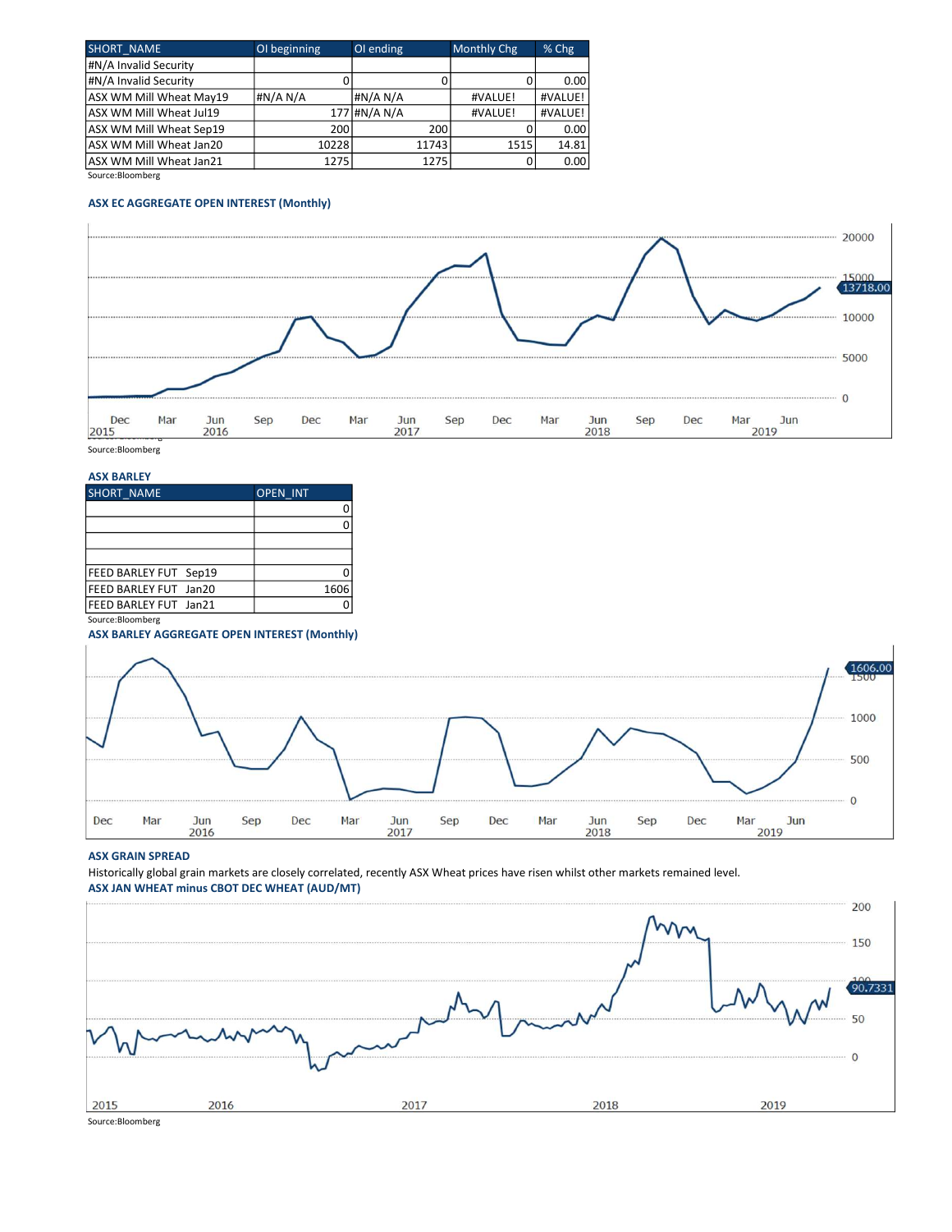| <b>SHORT NAME</b>       | OI beginning | OI ending    | Monthly Chg | % Chg   |
|-------------------------|--------------|--------------|-------------|---------|
| #N/A Invalid Security   |              |              |             |         |
| #N/A Invalid Security   |              |              |             | 0.00    |
| ASX WM Mill Wheat May19 | #N/A N/A     | #N/A N/A     | #VALUE!     | #VALUE! |
| ASX WM Mill Wheat Jul19 |              | 177 #N/A N/A | #VALUE!     | #VALUE! |
| ASX WM Mill Wheat Sep19 | 200          | 200          |             | 0.00    |
| ASX WM Mill Wheat Jan20 | 10228        | 11743        | 1515        | 14.81   |
| ASX WM Mill Wheat Jan21 | 1275         | 1275         |             | 0.00    |

Source:Bloomberg

### ASX EC AGGREGATE OPEN INTEREST (Monthly)



ASX BARLEY

| , , , , , , , , , , , , ,    |                 |
|------------------------------|-----------------|
| SHORT NAME                   | <b>OPEN INT</b> |
|                              |                 |
|                              |                 |
|                              |                 |
|                              |                 |
| <b>FEED BARLEY FUT Sep19</b> |                 |
| FEED BARLEY FUT Jan20        | 1606            |
| FEED BARLEY FUT Jan21        |                 |
|                              |                 |

Source:Bloomberg

#### ASX BARLEY AGGREGATE OPEN INTEREST (Monthly)



#### ASX GRAIN SPREAD

Historically global grain markets are closely correlated, recently ASX Wheat prices have risen whilst other markets remained level. ASX JAN WHEAT minus CBOT DEC WHEAT (AUD/MT)



Source:Bloomberg